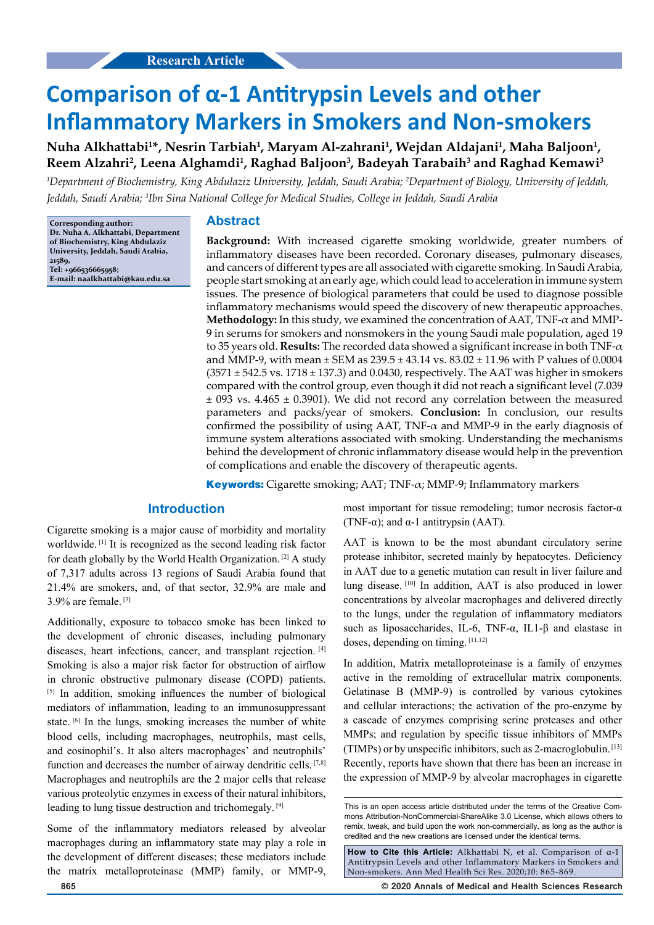# **Comparison of α-1 Antitrypsin Levels and other Inflammatory Markers in Smokers and Non-smokers**

# **Nuha Alkhattabi<sup>1</sup>\*, Nesrin Tarbiah<sup>1</sup> , Maryam Al-zahrani<sup>1</sup> , Wejdan Aldajani<sup>1</sup> , Maha Baljoon<sup>1</sup> , Reem Alzahri<sup>2</sup> , Leena Alghamdi<sup>1</sup> , Raghad Baljoon<sup>3</sup> , Badeyah Tarabaih<sup>3</sup> and Raghad Kemawi<sup>3</sup>**

*<sup>1</sup>Department of Biochemistry, King Abdulaziz University, Jeddah, Saudi Arabia; <sup>2</sup>Department of Biology, University of Jeddah, Jeddah, Saudi Arabia; <sup>3</sup> Ibn Sina National College for Medical Studies, College in Jeddah, Saudi Arabia*

**Corresponding author: Dr. Nuha A. Alkhattabi, Department of Biochemistry, King Abdulaziz University, Jeddah, Saudi Arabia, 21589, Tel: +966536665958; E-mail: naalkhattabi@kau.edu.sa**

#### **Abstract**

**Background:** With increased cigarette smoking worldwide, greater numbers of inflammatory diseases have been recorded. Coronary diseases, pulmonary diseases, and cancers of different types are all associated with cigarette smoking. In Saudi Arabia, people start smoking at an early age, which could lead to acceleration in immune system issues. The presence of biological parameters that could be used to diagnose possible inflammatory mechanisms would speed the discovery of new therapeutic approaches. **Methodology:** In this study, we examined the concentration of AAT, TNF-α and MMP-9 in serums for smokers and nonsmokers in the young Saudi male population, aged 19 to 35 years old. **Results:** The recorded data showed a significant increase in both TNF-α and MMP-9, with mean  $\pm$  SEM as 239.5  $\pm$  43.14 vs. 83.02  $\pm$  11.96 with P values of 0.0004  $(3571 \pm 542.5 \text{ vs. } 1718 \pm 137.3)$  and 0.0430, respectively. The AAT was higher in smokers compared with the control group, even though it did not reach a significant level (7.039  $\pm$  093 vs. 4.465  $\pm$  0.3901). We did not record any correlation between the measured parameters and packs/year of smokers. **Conclusion:** In conclusion, our results confirmed the possibility of using AAT, TNF- $\alpha$  and MMP-9 in the early diagnosis of immune system alterations associated with smoking. Understanding the mechanisms behind the development of chronic inflammatory disease would help in the prevention of complications and enable the discovery of therapeutic agents.

**Keywords:** Cigarette smoking; AAT; TNF-α; MMP-9; Inflammatory markers

### **Introduction**

Cigarette smoking is a major cause of morbidity and mortality worldwide. [1] It is recognized as the second leading risk factor for death globally by the World Health Organization. [2] A study of 7,317 adults across 13 regions of Saudi Arabia found that 21.4% are smokers, and, of that sector, 32.9% are male and 3.9% are female. [3]

Additionally, exposure to tobacco smoke has been linked to the development of chronic diseases, including pulmonary diseases, heart infections, cancer, and transplant rejection. [4] Smoking is also a major risk factor for obstruction of airflow in chronic obstructive pulmonary disease (COPD) patients. [5] In addition, smoking influences the number of biological mediators of inflammation, leading to an immunosuppressant state. <sup>[6]</sup> In the lungs, smoking increases the number of white blood cells, including macrophages, neutrophils, mast cells, and eosinophil's. It also alters macrophages' and neutrophils' function and decreases the number of airway dendritic cells. [7,8] Macrophages and neutrophils are the 2 major cells that release various proteolytic enzymes in excess of their natural inhibitors, leading to lung tissue destruction and trichomegaly. [9]

Some of the inflammatory mediators released by alveolar macrophages during an inflammatory state may play a role in the development of different diseases; these mediators include the matrix metalloproteinase (MMP) family, or MMP-9, most important for tissue remodeling; tumor necrosis factor- $\alpha$ (TNF- $\alpha$ ); and  $\alpha$ -1 antitrypsin (AAT).

AAT is known to be the most abundant circulatory serine protease inhibitor, secreted mainly by hepatocytes. Deficiency in AAT due to a genetic mutation can result in liver failure and lung disease. [10] In addition, AAT is also produced in lower concentrations by alveolar macrophages and delivered directly to the lungs, under the regulation of inflammatory mediators such as liposaccharides, IL-6, TNF-α, IL1-β and elastase in doses, depending on timing. [11,12]

In addition, Matrix metalloproteinase is a family of enzymes active in the remolding of extracellular matrix components. Gelatinase B (MMP-9) is controlled by various cytokines and cellular interactions; the activation of the pro-enzyme by a cascade of enzymes comprising serine proteases and other MMPs; and regulation by specific tissue inhibitors of MMPs (TIMPs) or by unspecific inhibitors, such as 2-macroglobulin. [13] Recently, reports have shown that there has been an increase in the expression of MMP-9 by alveolar macrophages in cigarette

**How to Cite this Article:** Alkhattabi N, et al. Comparison of α-1 Antitrypsin Levels and other Inflammatory Markers in Smokers and Non-smokers. Ann Med Health Sci Res. 2020;10: 865-869.

**865 © 2020 Annals of Medical and Health Sciences Research** 

This is an open access article distributed under the terms of the Creative Commons Attribution‑NonCommercial‑ShareAlike 3.0 License, which allows others to remix, tweak, and build upon the work non‑commercially, as long as the author is credited and the new creations are licensed under the identical terms.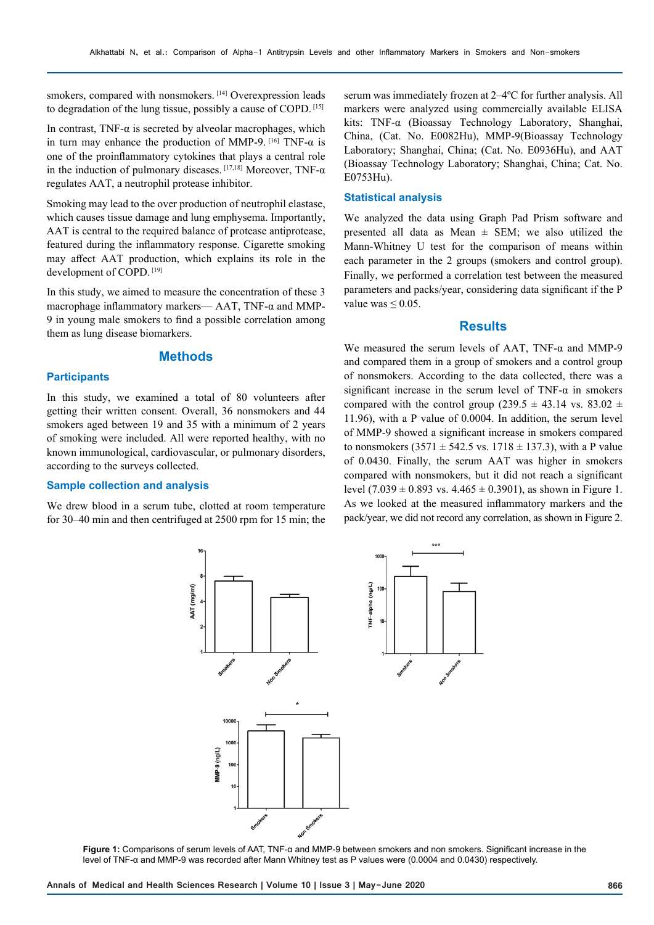smokers, compared with nonsmokers.<sup>[14]</sup> Overexpression leads to degradation of the lung tissue, possibly a cause of COPD. [15]

In contrast, TNF- $\alpha$  is secreted by alveolar macrophages, which in turn may enhance the production of MMP-9.  $[16]$  TNF- $\alpha$  is one of the proinflammatory cytokines that plays a central role in the induction of pulmonary diseases.  $[17,18]$  Moreover, TNF- $\alpha$ regulates AAT, a neutrophil protease inhibitor.

Smoking may lead to the over production of neutrophil elastase, which causes tissue damage and lung emphysema. Importantly, AAT is central to the required balance of protease antiprotease, featured during the inflammatory response. Cigarette smoking may affect AAT production, which explains its role in the development of COPD. [19]

In this study, we aimed to measure the concentration of these 3 macrophage inflammatory markers— AAT, TNF-α and MMP-9 in young male smokers to find a possible correlation among them as lung disease biomarkers.

### **Methods**

#### **Participants**

In this study, we examined a total of 80 volunteers after getting their written consent. Overall, 36 nonsmokers and 44 smokers aged between 19 and 35 with a minimum of 2 years of smoking were included. All were reported healthy, with no known immunological, cardiovascular, or pulmonary disorders, according to the surveys collected.

#### **Sample collection and analysis**

We drew blood in a serum tube, clotted at room temperature for 30–40 min and then centrifuged at 2500 rpm for 15 min; the

serum was immediately frozen at 2–4ºC for further analysis. All markers were analyzed using commercially available ELISA kits: TNF-α (Bioassay Technology Laboratory, Shanghai, China, (Cat. No. E0082Hu), MMP-9(Bioassay Technology Laboratory; Shanghai, China; (Cat. No. E0936Hu), and AAT (Bioassay Technology Laboratory; Shanghai, China; Cat. No. E0753Hu).

# **Statistical analysis**

We analyzed the data using Graph Pad Prism software and presented all data as Mean  $\pm$  SEM; we also utilized the Mann-Whitney U test for the comparison of means within each parameter in the 2 groups (smokers and control group). Finally, we performed a correlation test between the measured parameters and packs/year, considering data significant if the P value was  $\leq 0.05$ .

#### **Results**

We measured the serum levels of AAT, TNF- $\alpha$  and MMP-9 and compared them in a group of smokers and a control group of nonsmokers. According to the data collected, there was a significant increase in the serum level of TNF- $\alpha$  in smokers compared with the control group (239.5  $\pm$  43.14 vs. 83.02  $\pm$ 11.96), with a P value of 0.0004. In addition, the serum level of MMP-9 showed a significant increase in smokers compared to nonsmokers  $(3571 \pm 542.5 \text{ vs. } 1718 \pm 137.3)$ , with a P value of 0.0430. Finally, the serum AAT was higher in smokers compared with nonsmokers, but it did not reach a significant level  $(7.039 \pm 0.893 \text{ vs. } 4.465 \pm 0.3901)$ , as shown in Figure 1. As we looked at the measured inflammatory markers and the pack/year, we did not record any correlation, as shown in Figure 2.



**Figure 1:** Comparisons of serum levels of AAT, TNF-α and MMP-9 between smokers and non smokers. Significant increase in the level of TNF-α and MMP-9 was recorded after Mann Whitney test as P values were (0.0004 and 0.0430) respectively.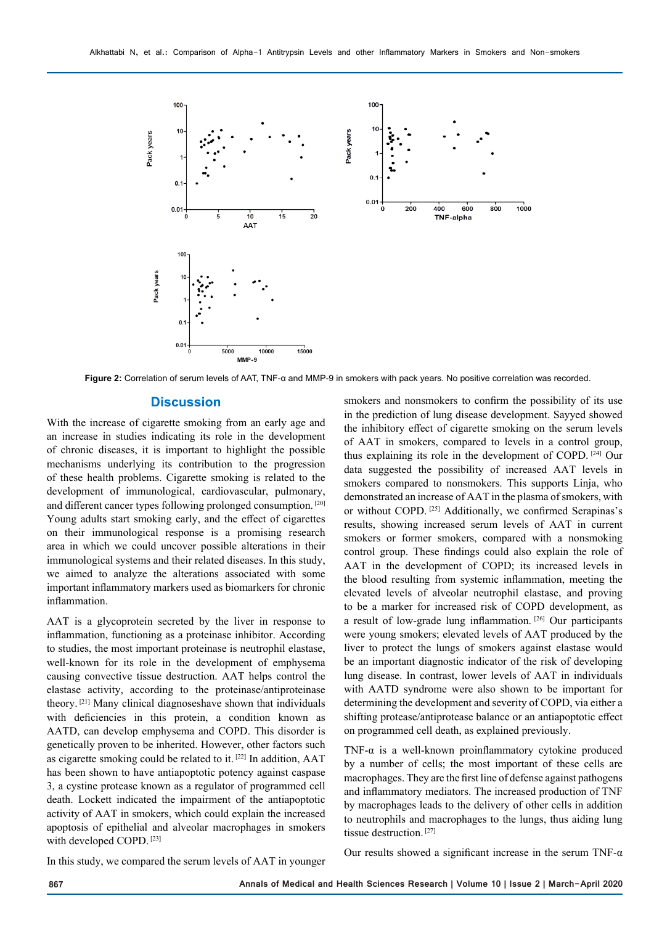

**Figure 2:** Correlation of serum levels of AAT, TNF-α and MMP-9 in smokers with pack years. No positive correlation was recorded.

#### **Discussion**

With the increase of cigarette smoking from an early age and an increase in studies indicating its role in the development of chronic diseases, it is important to highlight the possible mechanisms underlying its contribution to the progression of these health problems. Cigarette smoking is related to the development of immunological, cardiovascular, pulmonary, and different cancer types following prolonged consumption. [20] Young adults start smoking early, and the effect of cigarettes on their immunological response is a promising research area in which we could uncover possible alterations in their immunological systems and their related diseases. In this study, we aimed to analyze the alterations associated with some important inflammatory markers used as biomarkers for chronic inflammation.

AAT is a glycoprotein secreted by the liver in response to inflammation, functioning as a proteinase inhibitor. According to studies, the most important proteinase is neutrophil elastase, well-known for its role in the development of emphysema causing convective tissue destruction. AAT helps control the elastase activity, according to the proteinase/antiproteinase theory. [21] Many clinical diagnoseshave shown that individuals with deficiencies in this protein, a condition known as AATD, can develop emphysema and COPD. This disorder is genetically proven to be inherited. However, other factors such as cigarette smoking could be related to it. [22] In addition, AAT has been shown to have antiapoptotic potency against caspase 3, a cystine protease known as a regulator of programmed cell death. Lockett indicated the impairment of the antiapoptotic activity of AAT in smokers, which could explain the increased apoptosis of epithelial and alveolar macrophages in smokers with developed COPD. [23]

smokers and nonsmokers to confirm the possibility of its use in the prediction of lung disease development. Sayyed showed the inhibitory effect of cigarette smoking on the serum levels of AAT in smokers, compared to levels in a control group, thus explaining its role in the development of COPD. [24] Our data suggested the possibility of increased AAT levels in smokers compared to nonsmokers. This supports Linja, who demonstrated an increase of AAT in the plasma of smokers, with or without COPD. [25] Additionally, we confirmed Serapinas's results, showing increased serum levels of AAT in current smokers or former smokers, compared with a nonsmoking control group. These findings could also explain the role of AAT in the development of COPD; its increased levels in the blood resulting from systemic inflammation, meeting the elevated levels of alveolar neutrophil elastase, and proving to be a marker for increased risk of COPD development, as a result of low-grade lung inflammation. [26] Our participants were young smokers; elevated levels of AAT produced by the liver to protect the lungs of smokers against elastase would be an important diagnostic indicator of the risk of developing lung disease. In contrast, lower levels of AAT in individuals with AATD syndrome were also shown to be important for determining the development and severity of COPD, via either a shifting protease/antiprotease balance or an antiapoptotic effect on programmed cell death, as explained previously.

TNF-α is a well-known proinflammatory cytokine produced by a number of cells; the most important of these cells are macrophages. They are the first line of defense against pathogens and inflammatory mediators. The increased production of TNF by macrophages leads to the delivery of other cells in addition to neutrophils and macrophages to the lungs, thus aiding lung tissue destruction. [27]

In this study, we compared the serum levels of AAT in younger

Our results showed a significant increase in the serum TNF- $\alpha$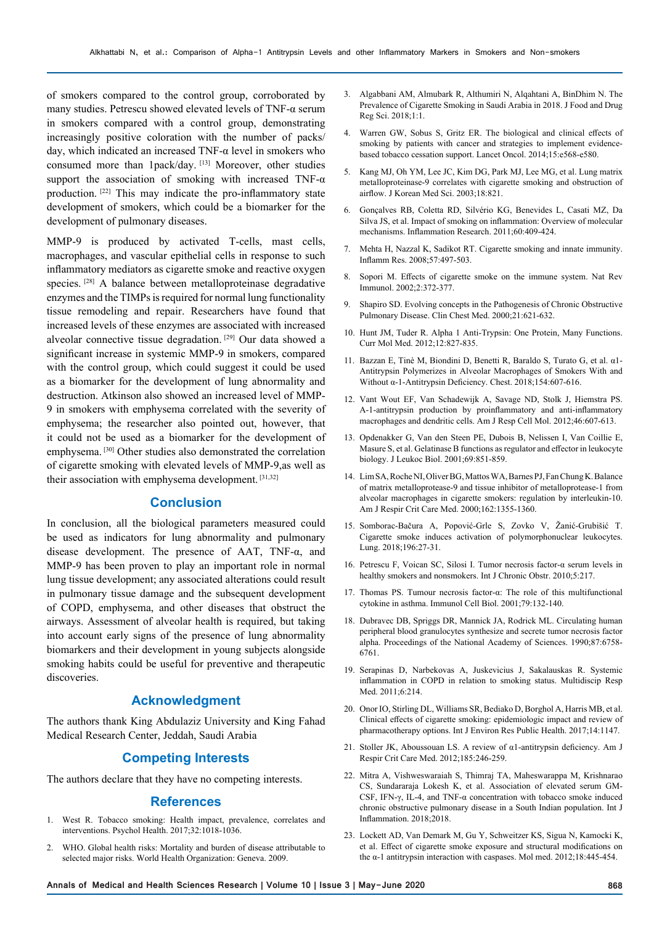of smokers compared to the control group, corroborated by many studies. Petrescu showed elevated levels of TNF-α serum in smokers compared with a control group, demonstrating increasingly positive coloration with the number of packs/ day, which indicated an increased TNF-α level in smokers who consumed more than 1pack/day. [13] Moreover, other studies support the association of smoking with increased TNF-α production. [22] This may indicate the pro-inflammatory state development of smokers, which could be a biomarker for the development of pulmonary diseases.

MMP-9 is produced by activated T-cells, mast cells, macrophages, and vascular epithelial cells in response to such inflammatory mediators as cigarette smoke and reactive oxygen species. [28] A balance between metalloproteinase degradative enzymes and the TIMPs is required for normal lung functionality tissue remodeling and repair. Researchers have found that increased levels of these enzymes are associated with increased alveolar connective tissue degradation. [29] Our data showed a significant increase in systemic MMP-9 in smokers, compared with the control group, which could suggest it could be used as a biomarker for the development of lung abnormality and destruction. Atkinson also showed an increased level of MMP-9 in smokers with emphysema correlated with the severity of emphysema; the researcher also pointed out, however, that it could not be used as a biomarker for the development of emphysema. [30] Other studies also demonstrated the correlation of cigarette smoking with elevated levels of MMP-9,as well as their association with emphysema development. [31,32]

# **Conclusion**

In conclusion, all the biological parameters measured could be used as indicators for lung abnormality and pulmonary disease development. The presence of AAT, TNF-α, and MMP-9 has been proven to play an important role in normal lung tissue development; any associated alterations could result in pulmonary tissue damage and the subsequent development of COPD, emphysema, and other diseases that obstruct the airways. Assessment of alveolar health is required, but taking into account early signs of the presence of lung abnormality biomarkers and their development in young subjects alongside smoking habits could be useful for preventive and therapeutic discoveries.

# **Acknowledgment**

The authors thank King Abdulaziz University and King Fahad Medical Research Center, Jeddah, Saudi Arabia

#### **Competing Interests**

The authors declare that they have no competing interests.

#### **References**

- 1. West R. Tobacco smoking: Health impact, prevalence, correlates and interventions. Psychol Health. 2017;32:1018-1036.
- 2. WHO. Global health risks: Mortality and burden of disease attributable to selected major risks. World Health Organization: Geneva. 2009.
- 3. Algabbani AM, Almubark R, Althumiri N, Alqahtani A, BinDhim N. The Prevalence of Cigarette Smoking in Saudi Arabia in 2018. J Food and Drug Reg Sci. 2018;1:1.
- 4. Warren GW, Sobus S, Gritz ER. The biological and clinical effects of smoking by patients with cancer and strategies to implement evidencebased tobacco cessation support. Lancet Oncol. 2014;15:e568-e580.
- 5. Kang MJ, Oh YM, Lee JC, Kim DG, Park MJ, Lee MG, et al. Lung matrix metalloproteinase-9 correlates with cigarette smoking and obstruction of airflow. J Korean Med Sci. 2003;18:821.
- 6. Gonçalves RB, Coletta RD, Silvério KG, Benevides L, Casati MZ, Da Silva JS, et al. Impact of smoking on inflammation: Overview of molecular mechanisms. Inflammation Research. 2011;60:409-424.
- 7. Mehta H, Nazzal K, Sadikot RT. Cigarette smoking and innate immunity. Inflamm Res. 2008;57:497-503.
- 8. Sopori M. Effects of cigarette smoke on the immune system. Nat Rev Immunol. 2002;2:372-377.
- Shapiro SD. Evolving concepts in the Pathogenesis of Chronic Obstructive Pulmonary Disease. Clin Chest Med. 2000;21:621-632.
- 10. Hunt JM, Tuder R. Alpha 1 Anti-Trypsin: One Protein, Many Functions. Curr Mol Med. 2012;12:827-835.
- 11. Bazzan E, Tinè M, Biondini D, Benetti R, Baraldo S, Turato G, et al. α1- Antitrypsin Polymerizes in Alveolar Macrophages of Smokers With and Without α-1-Antitrypsin Deficiency. Chest. 2018;154:607-616.
- 12. Vant Wout EF, Van Schadewijk A, Savage ND, Stolk J, Hiemstra PS. Α-1-antitrypsin production by proinflammatory and anti-inflammatory macrophages and dendritic cells. Am J Resp Cell Mol. 2012;46:607-613.
- 13. Opdenakker G, Van den Steen PE, Dubois B, Nelissen I, Van Coillie E, Masure S, et al. Gelatinase B functions as regulator and effector in leukocyte biology. J Leukoc Biol. 2001;69:851-859.
- 14. Lim SA, Roche NI, Oliver BG, Mattos WA, Barnes PJ, Fan Chung K. Balance of matrix metalloprotease-9 and tissue inhibitor of metalloprotease-1 from alveolar macrophages in cigarette smokers: regulation by interleukin-10. Am J Respir Crit Care Med. 2000;162:1355-1360.
- 15. Somborac-Bačura A, Popović-Grle S, Zovko V, Žanić-Grubišić T. Cigarette smoke induces activation of polymorphonuclear leukocytes. Lung. 2018;196:27-31.
- 16. Petrescu F, Voican SC, Silosi I. Tumor necrosis factor-α serum levels in healthy smokers and nonsmokers. Int J Chronic Obstr. 2010;5:217.
- 17. Thomas PS. Tumour necrosis factor‐α: The role of this multifunctional cytokine in asthma. Immunol Cell Biol. 2001;79:132-140.
- 18. Dubravec DB, Spriggs DR, Mannick JA, Rodrick ML. Circulating human peripheral blood granulocytes synthesize and secrete tumor necrosis factor alpha. Proceedings of the National Academy of Sciences. 1990;87:6758- 6761.
- 19. Serapinas D, Narbekovas A, Juskevicius J, Sakalauskas R. Systemic inflammation in COPD in relation to smoking status. Multidiscip Resp Med. 2011;6:214.
- 20. Onor IO, Stirling DL, Williams SR, Bediako D, Borghol A, Harris MB, et al. Clinical effects of cigarette smoking: epidemiologic impact and review of pharmacotherapy options. Int J Environ Res Public Health. 2017;14:1147.
- 21. Stoller JK, Aboussouan LS. A review of α1-antitrypsin deficiency. Am J Respir Crit Care Med. 2012;185:246-259.
- 22. Mitra A, Vishweswaraiah S, Thimraj TA, Maheswarappa M, Krishnarao CS, Sundararaja Lokesh K, et al. Association of elevated serum GM-CSF, IFN-γ, IL-4, and TNF-α concentration with tobacco smoke induced chronic obstructive pulmonary disease in a South Indian population. Int J Inflammation. 2018;2018.
- 23. Lockett AD, Van Demark M, Gu Y, Schweitzer KS, Sigua N, Kamocki K, et al. Effect of cigarette smoke exposure and structural modifications on the  $\alpha$ -1 antitrypsin interaction with caspases. Mol med. 2012;18:445-454.